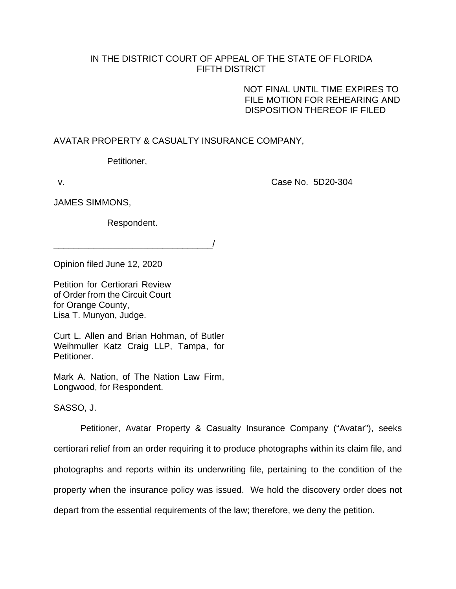## IN THE DISTRICT COURT OF APPEAL OF THE STATE OF FLORIDA FIFTH DISTRICT

NOT FINAL UNTIL TIME EXPIRES TO FILE MOTION FOR REHEARING AND DISPOSITION THEREOF IF FILED

## AVATAR PROPERTY & CASUALTY INSURANCE COMPANY,

Petitioner,

v. Case No. 5D20-304

JAMES SIMMONS,

Respondent.

 $\overline{\phantom{a}}$ 

Opinion filed June 12, 2020

Petition for Certiorari Review of Order from the Circuit Court for Orange County, Lisa T. Munyon, Judge.

Curt L. Allen and Brian Hohman, of Butler Weihmuller Katz Craig LLP, Tampa, for Petitioner.

Mark A. Nation, of The Nation Law Firm, Longwood, for Respondent.

SASSO, J.

Petitioner, Avatar Property & Casualty Insurance Company ("Avatar"), seeks certiorari relief from an order requiring it to produce photographs within its claim file, and photographs and reports within its underwriting file, pertaining to the condition of the property when the insurance policy was issued. We hold the discovery order does not depart from the essential requirements of the law; therefore, we deny the petition.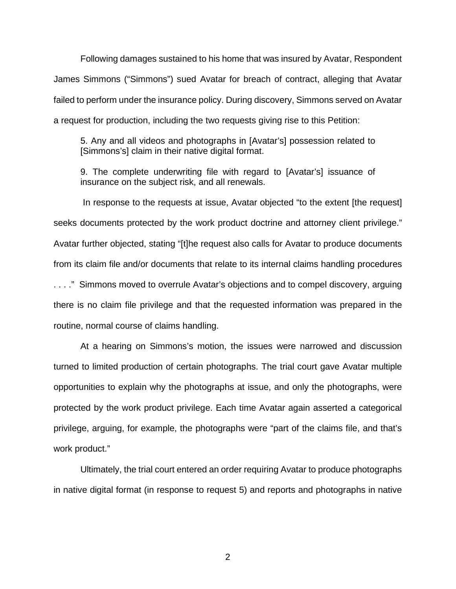Following damages sustained to his home that was insured by Avatar, Respondent James Simmons ("Simmons") sued Avatar for breach of contract, alleging that Avatar failed to perform under the insurance policy. During discovery, Simmons served on Avatar a request for production, including the two requests giving rise to this Petition:

5. Any and all videos and photographs in [Avatar's] possession related to [Simmons's] claim in their native digital format.

9. The complete underwriting file with regard to [Avatar's] issuance of insurance on the subject risk, and all renewals.

In response to the requests at issue, Avatar objected "to the extent [the request] seeks documents protected by the work product doctrine and attorney client privilege." Avatar further objected, stating "[t]he request also calls for Avatar to produce documents from its claim file and/or documents that relate to its internal claims handling procedures . . . ." Simmons moved to overrule Avatar's objections and to compel discovery, arguing there is no claim file privilege and that the requested information was prepared in the routine, normal course of claims handling.

At a hearing on Simmons's motion, the issues were narrowed and discussion turned to limited production of certain photographs. The trial court gave Avatar multiple opportunities to explain why the photographs at issue, and only the photographs, were protected by the work product privilege. Each time Avatar again asserted a categorical privilege, arguing, for example, the photographs were "part of the claims file, and that's work product."

Ultimately, the trial court entered an order requiring Avatar to produce photographs in native digital format (in response to request 5) and reports and photographs in native

2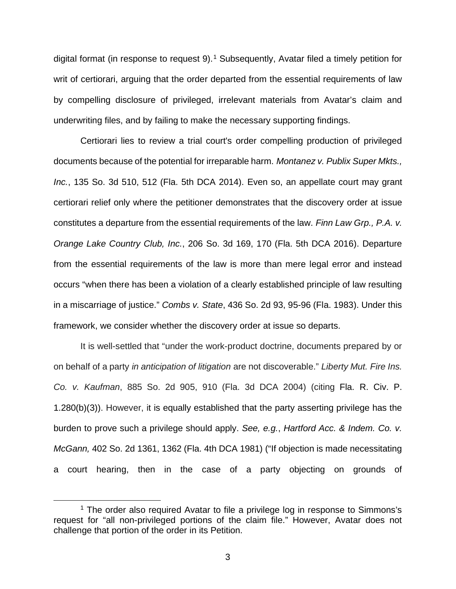digital format (in response to request  $9$ ).<sup>[1](#page-2-0)</sup> Subsequently, Avatar filed a timely petition for writ of certiorari, arguing that the order departed from the essential requirements of law by compelling disclosure of privileged, irrelevant materials from Avatar's claim and underwriting files, and by failing to make the necessary supporting findings.

Certiorari lies to review a trial court's order compelling production of privileged documents because of the potential for irreparable harm. *Montanez v. Publix Super Mkts., Inc.*, 135 So. 3d 510, 512 (Fla. 5th DCA 2014). Even so, an appellate court may grant certiorari relief only where the petitioner demonstrates that the discovery order at issue constitutes a departure from the essential requirements of the law. *Finn Law Grp., P.A. v. Orange Lake Country Club, Inc.*, 206 So. 3d 169, 170 (Fla. 5th DCA 2016). Departure from the essential requirements of the law is more than mere legal error and instead occurs "when there has been a violation of a clearly established principle of law resulting in a miscarriage of justice." *Combs v. State*, 436 So. 2d 93, 95-96 (Fla. 1983). Under this framework, we consider whether the discovery order at issue so departs.

It is well-settled that "under the work-product doctrine, documents prepared by or on behalf of a party *in anticipation of litigation* are not discoverable." *Liberty Mut. Fire Ins. Co. v. Kaufman*, 885 So. 2d 905, 910 (Fla. 3d DCA 2004) (citing Fla. R. Civ. P. 1.280(b)(3)). However, it is equally established that the party asserting privilege has the burden to prove such a privilege should apply. *See, e.g.*, *Hartford Acc. & Indem. Co. v. McGann,* 402 So. 2d 1361, 1362 (Fla. 4th DCA 1981) ("If objection is made necessitating a court hearing, then in the case of a party objecting on grounds of

<span id="page-2-0"></span><sup>&</sup>lt;sup>1</sup> The order also required Avatar to file a privilege log in response to Simmons's request for "all non-privileged portions of the claim file." However, Avatar does not challenge that portion of the order in its Petition.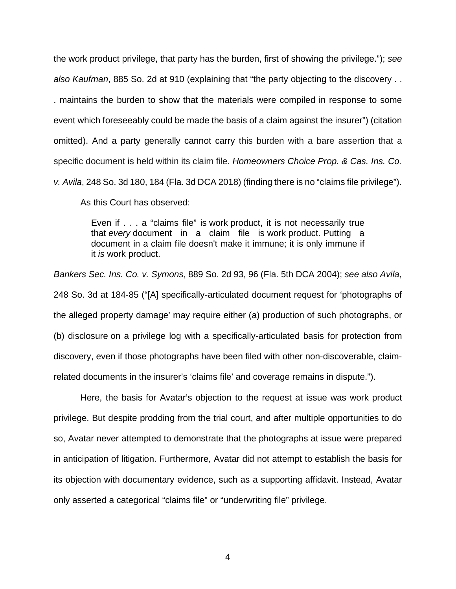the work product privilege, that party has the burden, first of showing the privilege."); *see also Kaufman*, 885 So. 2d at 910 (explaining that "the party objecting to the discovery . . . maintains the burden to show that the materials were compiled in response to some event which foreseeably could be made the basis of a claim against the insurer") (citation omitted). And a party generally cannot carry this burden with a bare assertion that a specific document is held within its claim file. *Homeowners Choice Prop. & Cas. Ins. Co. v. Avila*, 248 So. 3d 180, 184 (Fla. 3d DCA 2018) (finding there is no "claims file privilege").

As this Court has observed:

Even if . . . a "claims file" is work product, it is not necessarily true that *every* document in a claim file is work product. Putting a document in a claim file doesn't make it immune; it is only immune if it *is* work product.

*Bankers Sec. Ins. Co. v. Symons*, 889 So. 2d 93, 96 (Fla. 5th DCA 2004); *see also Avila*, 248 So. 3d at 184-85 ("[A] specifically-articulated document request for 'photographs of the alleged property damage' may require either (a) production of such photographs, or (b) disclosure on a privilege log with a specifically-articulated basis for protection from discovery, even if those photographs have been filed with other non-discoverable, claimrelated documents in the insurer's 'claims file' and coverage remains in dispute.").

Here, the basis for Avatar's objection to the request at issue was work product privilege. But despite prodding from the trial court, and after multiple opportunities to do so, Avatar never attempted to demonstrate that the photographs at issue were prepared in anticipation of litigation. Furthermore, Avatar did not attempt to establish the basis for its objection with documentary evidence, such as a supporting affidavit. Instead, Avatar only asserted a categorical "claims file" or "underwriting file" privilege.

4